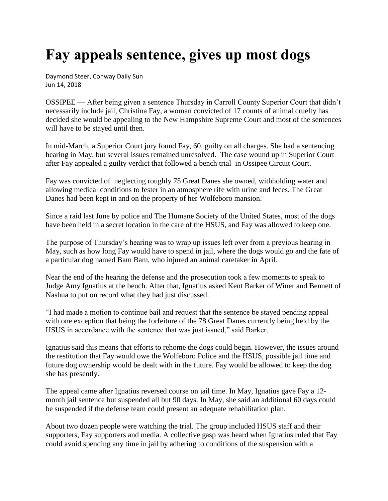## **Fay appeals sentence, gives up most dogs**

Daymond Steer, Conway Daily Sun Jun 14, 2018

OSSIPEE — After being given a sentence Thursday in Carroll County Superior Court that didn't necessarily include jail, Christina Fay, a woman convicted of 17 counts of animal cruelty has decided she would be appealing to the New Hampshire Supreme Court and most of the sentences will have to be stayed until then.

In mid-March, a Superior Court jury found Fay, 60, guilty on all charges. She had a sentencing hearing in May, but several issues remained unresolved. The case wound up in Superior Court after Fay appealed a guilty verdict that followed a bench trial in Ossipee Circuit Court.

Fay was convicted of neglecting roughly 75 Great Danes she owned, withholding water and allowing medical conditions to fester in an atmosphere rife with urine and feces. The Great Danes had been kept in and on the property of her Wolfeboro mansion.

Since a raid last June by police and The Humane Society of the United States, most of the dogs have been held in a secret location in the care of the HSUS, and Fay was allowed to keep one.

The purpose of Thursday's hearing was to wrap up issues left over from a previous hearing in May, such as how long Fay would have to spend in jail, where the dogs would go and the fate of a particular dog named Bam Bam, who injured an animal caretaker in April.

Near the end of the hearing the defense and the prosecution took a few moments to speak to Judge Amy Ignatius at the bench. After that, Ignatius asked Kent Barker of Winer and Bennett of Nashua to put on record what they had just discussed.

"I had made a motion to continue bail and request that the sentence be stayed pending appeal with one exception that being the forfeiture of the 78 Great Danes currently being held by the HSUS in accordance with the sentence that was just issued," said Barker.

Ignatius said this means that efforts to rehome the dogs could begin. However, the issues around the restitution that Fay would owe the Wolfeboro Police and the HSUS, possible jail time and future dog ownership would be dealt with in the future. Fay would be allowed to keep the dog she has presently.

The appeal came after Ignatius reversed course on jail time. In May, Ignatius gave Fay a 12 month jail sentence but suspended all but 90 days. In May, she said an additional 60 days could be suspended if the defense team could present an adequate rehabilitation plan.

About two dozen people were watching the trial. The group included HSUS staff and their supporters, Fay supporters and media. A collective gasp was heard when Ignatius ruled that Fay could avoid spending any time in jail by adhering to conditions of the suspension with a